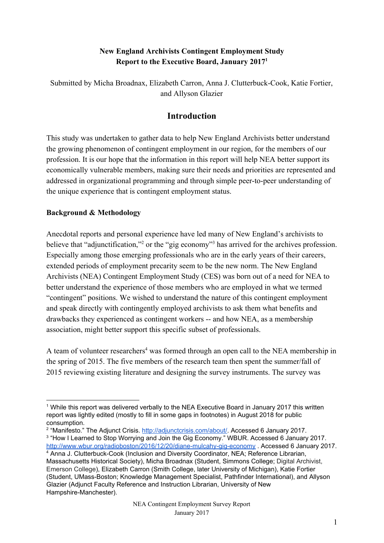## **New England Archivists Contingent Employment Study Report to the Executive Board, January 2017<sup>1</sup>**

Submitted by Micha Broadnax, Elizabeth Carron, Anna J. Clutterbuck-Cook, Katie Fortier, and Allyson Glazier

## **Introduction**

This study was undertaken to gather data to help New England Archivists better understand the growing phenomenon of contingent employment in our region, for the members of our profession. It is our hope that the information in this report will help NEA better support its economically vulnerable members, making sure their needs and priorities are represented and addressed in organizational programming and through simple peer-to-peer understanding of the unique experience that is contingent employment status.

## **Background & Methodology**

Anecdotal reports and personal experience have led many of New England's archivists to believe that "adjunctification,"<sup>2</sup> or the "gig economy"<sup>3</sup> has arrived for the archives profession. Especially among those emerging professionals who are in the early years of their careers, extended periods of employment precarity seem to be the new norm. The New England Archivists (NEA) Contingent Employment Study (CES) was born out of a need for NEA to better understand the experience of those members who are employed in what we termed "contingent" positions. We wished to understand the nature of this contingent employment and speak directly with contingently employed archivists to ask them what benefits and drawbacks they experienced as contingent workers -- and how NEA, as a membership association, might better support this specific subset of professionals.

A team of volunteer researchers<sup>4</sup> was formed through an open call to the NEA membership in the spring of 2015. The five members of the research team then spent the summer/fall of 2015 reviewing existing literature and designing the survey instruments. The survey was

<sup>1</sup> While this report was delivered verbally to the NEA Executive Board in January 2017 this written report was lightly edited (mostly to fill in some gaps in footnotes) in August 2018 for public consumption.

<sup>&</sup>lt;sup>2</sup> "Manifesto." The Adjunct Crisis. [http://adjunctcrisis.com/about/.](http://adjunctcrisis.com/about/) Accessed 6 January 2017. <sup>3</sup> "How I Learned to Stop Worrying and Join the Gig Economy." WBUR. Accessed 6 January 2017. <http://www.wbur.org/radioboston/2016/12/20/diane-mulcahy-gig-economy> . Accessed 6 January 2017. <sup>4</sup> Anna J. Clutterbuck-Cook (Inclusion and Diversity Coordinator, NEA; Reference Librarian, Massachusetts Historical Society), Micha Broadnax (Student, Simmons College; Digital Archivist, Emerson College), Elizabeth Carron (Smith College, later University of Michigan), Katie Fortier (Student, UMass-Boston; Knowledge Management Specialist, Pathfinder International), and Allyson Glazier (Adjunct Faculty Reference and Instruction Librarian, University of New Hampshire-Manchester).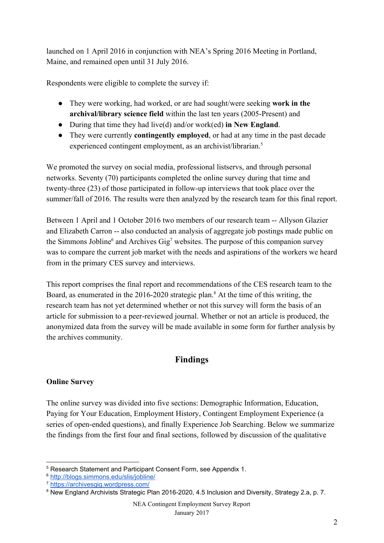launched on 1 April 2016 in conjunction with NEA's Spring 2016 Meeting in Portland, Maine, and remained open until 31 July 2016.

Respondents were eligible to complete the survey if:

- They were working, had worked, or are had sought/were seeking **work in the archival/library science field** within the last ten years (2005-Present) and
- During that time they had live(d) and/or work(ed) **in New England**.
- They were currently **contingently employed**, or had at any time in the past decade experienced contingent employment, as an archivist/librarian.<sup>5</sup>

We promoted the survey on social media, professional listservs, and through personal networks. Seventy (70) participants completed the online survey during that time and twenty-three (23) of those participated in follow-up interviews that took place over the summer/fall of 2016. The results were then analyzed by the research team for this final report.

Between 1 April and 1 October 2016 two members of our research team -- Allyson Glazier and Elizabeth Carron -- also conducted an analysis of aggregate job postings made public on the Simmons Jobline<sup>6</sup> and Archives Gig<sup>7</sup> websites. The purpose of this companion survey was to compare the current job market with the needs and aspirations of the workers we heard from in the primary CES survey and interviews.

This report comprises the final report and recommendations of the CES research team to the Board, as enumerated in the  $2016-2020$  strategic plan.<sup>8</sup> At the time of this writing, the research team has not yet determined whether or not this survey will form the basis of an article for submission to a peer-reviewed journal. Whether or not an article is produced, the anonymized data from the survey will be made available in some form for further analysis by the archives community.

# **Findings**

## **Online Survey**

The online survey was divided into five sections: Demographic Information, Education, Paying for Your Education, Employment History, Contingent Employment Experience (a series of open-ended questions), and finally Experience Job Searching. Below we summarize the findings from the first four and final sections, followed by discussion of the qualitative

<sup>5</sup> Research Statement and Participant Consent Form, see Appendix 1.

<sup>6</sup> <http://blogs.simmons.edu/slis/jobline/>

<sup>7</sup> <https://archivesgig.wordpress.com/>

<sup>&</sup>lt;sup>8</sup> New England Archivists Strategic Plan 2016-2020, 4.5 Inclusion and Diversity, Strategy 2.a, p. 7.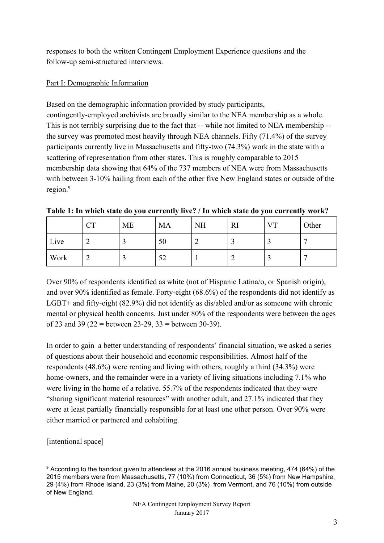responses to both the written Contingent Employment Experience questions and the follow-up semi-structured interviews.

## Part I: Demographic Information

Based on the demographic information provided by study participants, contingently-employed archivists are broadly similar to the NEA membership as a whole. This is not terribly surprising due to the fact that -- while not limited to NEA membership - the survey was promoted most heavily through NEA channels. Fifty (71.4%) of the survey participants currently live in Massachusetts and fifty-two (74.3%) work in the state with a scattering of representation from other states. This is roughly comparable to 2015 membership data showing that 64% of the 737 members of NEA were from Massachusetts with between 3-10% hailing from each of the other five New England states or outside of the region.<sup>9</sup>

|      | <b>CT</b> | <b>ME</b> | <b>MA</b> | <b>NH</b> | <b>RI</b> | <b>VT</b> | Other |
|------|-----------|-----------|-----------|-----------|-----------|-----------|-------|
| Live | ◠<br>∠    |           | 50        | ∽         |           |           | ┍     |
| Work | ി<br>∠    |           | 52        |           |           | - 1       | ┍     |

**Table 1: In which state do you currently live? / In which state do you currently work?**

Over 90% of respondents identified as white (not of Hispanic Latina/o, or Spanish origin), and over 90% identified as female. Forty-eight (68.6%) of the respondents did not identify as LGBT+ and fifty-eight (82.9%) did not identify as dis/abled and/or as someone with chronic mental or physical health concerns. Just under 80% of the respondents were between the ages of 23 and 39 (22 = between 23-29, 33 = between 30-39).

In order to gain a better understanding of respondents' financial situation, we asked a series of questions about their household and economic responsibilities. Almost half of the respondents (48.6%) were renting and living with others, roughly a third (34.3%) were home-owners, and the remainder were in a variety of living situations including 7.1% who were living in the home of a relative. 55.7% of the respondents indicated that they were "sharing significant material resources" with another adult, and 27.1% indicated that they were at least partially financially responsible for at least one other person. Over 90% were either married or partnered and cohabiting.

[intentional space]

<sup>9</sup> According to the handout given to attendees at the 2016 annual business meeting, 474 (64%) of the 2015 members were from Massachusetts, 77 (10%) from Connecticut, 36 (5%) from New Hampshire, 29 (4%) from Rhode Island, 23 (3%) from Maine, 20 (3%) from Vermont, and 76 (10%) from outside of New England.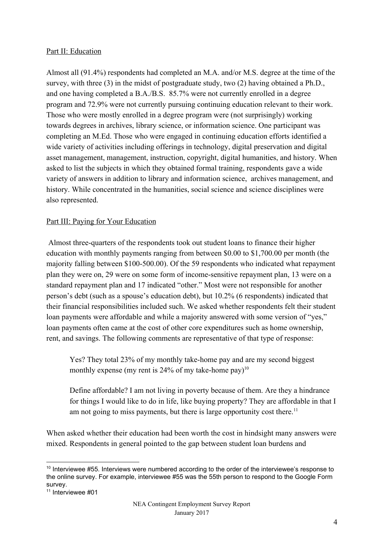#### Part II: Education

Almost all (91.4%) respondents had completed an M.A. and/or M.S. degree at the time of the survey, with three (3) in the midst of postgraduate study, two (2) having obtained a Ph.D., and one having completed a B.A./B.S. 85.7% were not currently enrolled in a degree program and 72.9% were not currently pursuing continuing education relevant to their work. Those who were mostly enrolled in a degree program were (not surprisingly) working towards degrees in archives, library science, or information science. One participant was completing an M.Ed. Those who were engaged in continuing education efforts identified a wide variety of activities including offerings in technology, digital preservation and digital asset management, management, instruction, copyright, digital humanities, and history. When asked to list the subjects in which they obtained formal training, respondents gave a wide variety of answers in addition to library and information science, archives management, and history. While concentrated in the humanities, social science and science disciplines were also represented.

#### Part III: Paying for Your Education

 Almost three-quarters of the respondents took out student loans to finance their higher education with monthly payments ranging from between \$0.00 to \$1,700.00 per month (the majority falling between \$100-500.00). Of the 59 respondents who indicated what repayment plan they were on, 29 were on some form of income-sensitive repayment plan, 13 were on a standard repayment plan and 17 indicated "other." Most were not responsible for another person's debt (such as a spouse's education debt), but 10.2% (6 respondents) indicated that their financial responsibilities included such. We asked whether respondents felt their student loan payments were affordable and while a majority answered with some version of "yes," loan payments often came at the cost of other core expenditures such as home ownership, rent, and savings. The following comments are representative of that type of response:

Yes? They total 23% of my monthly take-home pay and are my second biggest monthly expense (my rent is 24% of my take-home pay)<sup>10</sup>

Define affordable? I am not living in poverty because of them. Are they a hindrance for things I would like to do in life, like buying property? They are affordable in that I am not going to miss payments, but there is large opportunity cost there.<sup>11</sup>

When asked whether their education had been worth the cost in hindsight many answers were mixed. Respondents in general pointed to the gap between student loan burdens and

<sup>&</sup>lt;sup>10</sup> Interviewee #55. Interviews were numbered according to the order of the interviewee's response to the online survey. For example, interviewee #55 was the 55th person to respond to the Google Form survey.

<sup>&</sup>lt;sup>11</sup> Interviewee #01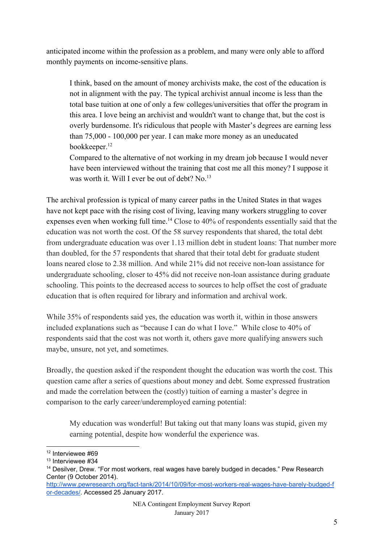anticipated income within the profession as a problem, and many were only able to afford monthly payments on income-sensitive plans.

I think, based on the amount of money archivists make, the cost of the education is not in alignment with the pay. The typical archivist annual income is less than the total base tuition at one of only a few colleges/universities that offer the program in this area. I love being an archivist and wouldn't want to change that, but the cost is overly burdensome. It's ridiculous that people with Master's degrees are earning less than 75,000 - 100,000 per year. I can make more money as an uneducated bookkeeper.<sup>12</sup>

Compared to the alternative of not working in my dream job because I would never have been interviewed without the training that cost me all this money? I suppose it was worth it. Will I ever be out of debt? No.<sup>13</sup>

The archival profession is typical of many career paths in the United States in that wages have not kept pace with the rising cost of living, leaving many workers struggling to cover expenses even when working full time.<sup>14</sup> Close to  $40\%$  of respondents essentially said that the education was not worth the cost. Of the 58 survey respondents that shared, the total debt from undergraduate education was over 1.13 million debt in student loans: That number more than doubled, for the 57 respondents that shared that their total debt for graduate student loans neared close to 2.38 million. And while 21% did not receive non-loan assistance for undergraduate schooling, closer to 45% did not receive non-loan assistance during graduate schooling. This points to the decreased access to sources to help offset the cost of graduate education that is often required for library and information and archival work.

While 35% of respondents said yes, the education was worth it, within in those answers included explanations such as "because I can do what I love." While close to 40% of respondents said that the cost was not worth it, others gave more qualifying answers such maybe, unsure, not yet, and sometimes.

Broadly, the question asked if the respondent thought the education was worth the cost. This question came after a series of questions about money and debt. Some expressed frustration and made the correlation between the (costly) tuition of earning a master's degree in comparison to the early career/underemployed earning potential:

My education was wonderful! But taking out that many loans was stupid, given my earning potential, despite how wonderful the experience was.

<sup>&</sup>lt;sup>12</sup> Interviewee #69

<sup>&</sup>lt;sup>13</sup> Interviewee #34

<sup>&</sup>lt;sup>14</sup> Desilver, Drew. "For most workers, real wages have barely budged in decades." Pew Research Center (9 October 2014).

[http://www.pewresearch.org/fact-tank/2014/10/09/for-most-workers-real-wages-have-barely-budged-f](http://www.pewresearch.org/fact-tank/2014/10/09/for-most-workers-real-wages-have-barely-budged-for-decades/) [or-decades/.](http://www.pewresearch.org/fact-tank/2014/10/09/for-most-workers-real-wages-have-barely-budged-for-decades/) Accessed 25 January 2017.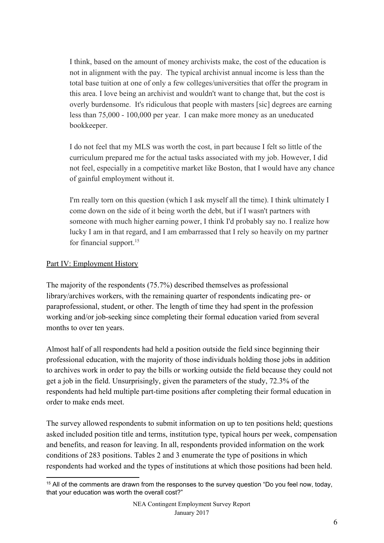I think, based on the amount of money archivists make, the cost of the education is not in alignment with the pay. The typical archivist annual income is less than the total base tuition at one of only a few colleges/universities that offer the program in this area. I love being an archivist and wouldn't want to change that, but the cost is overly burdensome. It's ridiculous that people with masters [sic] degrees are earning less than 75,000 - 100,000 per year. I can make more money as an uneducated bookkeeper.

I do not feel that my MLS was worth the cost, in part because I felt so little of the curriculum prepared me for the actual tasks associated with my job. However, I did not feel, especially in a competitive market like Boston, that I would have any chance of gainful employment without it.

I'm really torn on this question (which I ask myself all the time). I think ultimately I come down on the side of it being worth the debt, but if I wasn't partners with someone with much higher earning power, I think I'd probably say no. I realize how lucky I am in that regard, and I am embarrassed that I rely so heavily on my partner for financial support.<sup>15</sup>

#### Part IV: Employment History

The majority of the respondents (75.7%) described themselves as professional library/archives workers, with the remaining quarter of respondents indicating pre- or paraprofessional, student, or other. The length of time they had spent in the profession working and/or job-seeking since completing their formal education varied from several months to over ten years.

Almost half of all respondents had held a position outside the field since beginning their professional education, with the majority of those individuals holding those jobs in addition to archives work in order to pay the bills or working outside the field because they could not get a job in the field. Unsurprisingly, given the parameters of the study, 72.3% of the respondents had held multiple part-time positions after completing their formal education in order to make ends meet.

The survey allowed respondents to submit information on up to ten positions held; questions asked included position title and terms, institution type, typical hours per week, compensation and benefits, and reason for leaving. In all, respondents provided information on the work conditions of 283 positions. Tables 2 and 3 enumerate the type of positions in which respondents had worked and the types of institutions at which those positions had been held.

 $15$  All of the comments are drawn from the responses to the survey question "Do you feel now, today, that your education was worth the overall cost?"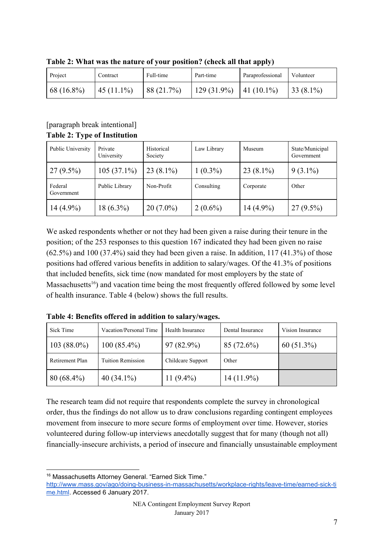| Project      | Contract     | Full-time  | Part-time     | Paraprofessional | Volunteer   |
|--------------|--------------|------------|---------------|------------------|-------------|
| $68(16.8\%)$ | $45(11.1\%)$ | 88 (21.7%) | $129(31.9\%)$ | $ 41(10.1\%)$    | $33(8.1\%)$ |

**Table 2: What was the nature of your position? (check all that apply)**

## [paragraph break intentional] **Table 2: Type of Institution**

| Public University     | Private<br>University | Historical<br>Society | Law Library | Museum       | State/Municipal<br>Government |
|-----------------------|-----------------------|-----------------------|-------------|--------------|-------------------------------|
| $27(9.5\%)$           | $105(37.1\%)$         | $23(8.1\%)$           | $1(0.3\%)$  | $23(8.1\%)$  | $9(3.1\%)$                    |
| Federal<br>Government | Public Library        | Non-Profit            | Consulting  | Corporate    | Other                         |
| $14(4.9\%)$           | $18(6.3\%)$           | $20(7.0\%)$           | $2(0.6\%)$  | 14 $(4.9\%)$ | $27(9.5\%)$                   |

We asked respondents whether or not they had been given a raise during their tenure in the position; of the 253 responses to this question 167 indicated they had been given no raise  $(62.5\%)$  and  $100 (37.4\%)$  said they had been given a raise. In addition,  $117 (41.3\%)$  of those positions had offered various benefits in addition to salary/wages. Of the 41.3% of positions that included benefits, sick time (now mandated for most employers by the state of Massachusetts<sup> $16$ </sup>) and vacation time being the most frequently offered followed by some level of health insurance. Table 4 (below) shows the full results.

| Sick Time       | Vacation/Personal Time   | Health Insurance  | Dental Insurance | Vision Insurance |
|-----------------|--------------------------|-------------------|------------------|------------------|
| $103(88.0\%)$   | $100(85.4\%)$            | $97(82.9\%)$      | 85 (72.6%)       | $60(51.3\%)$     |
| Retirement Plan | <b>Tuition Remission</b> | Childcare Support | Other            |                  |
| $80(68.4\%)$    | 40 $(34.1\%)$            | 11 $(9.4\%)$      | $14(11.9\%)$     |                  |

**Table 4: Benefits offered in addition to salary/wages.**

The research team did not require that respondents complete the survey in chronological order, thus the findings do not allow us to draw conclusions regarding contingent employees movement from insecure to more secure forms of employment over time. However, stories volunteered during follow-up interviews anecdotally suggest that for many (though not all) financially-insecure archivists, a period of insecure and financially unsustainable employment

<sup>&</sup>lt;sup>16</sup> Massachusetts Attorney General. "Earned Sick Time."

[http://www.mass.gov/ago/doing-business-in-massachusetts/workplace-rights/leave-time/earned-sick-ti](http://www.mass.gov/ago/doing-business-in-massachusetts/workplace-rights/leave-time/earned-sick-time.html) [me.html](http://www.mass.gov/ago/doing-business-in-massachusetts/workplace-rights/leave-time/earned-sick-time.html). Accessed 6 January 2017.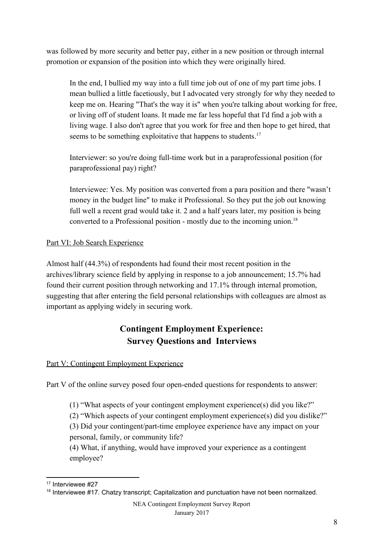was followed by more security and better pay, either in a new position or through internal promotion or expansion of the position into which they were originally hired.

In the end, I bullied my way into a full time job out of one of my part time jobs. I mean bullied a little facetiously, but I advocated very strongly for why they needed to keep me on. Hearing "That's the way it is" when you're talking about working for free, or living off of student loans. It made me far less hopeful that I'd find a job with a living wage. I also don't agree that you work for free and then hope to get hired, that seems to be something exploitative that happens to students.<sup>17</sup>

Interviewer: so you're doing full-time work but in a paraprofessional position (for paraprofessional pay) right?

Interviewee: Yes. My position was converted from a para position and there "wasn't money in the budget line" to make it Professional. So they put the job out knowing full well a recent grad would take it. 2 and a half years later, my position is being converted to a Professional position - mostly due to the incoming union.<sup>18</sup>

## Part VI: Job Search Experience

Almost half (44.3%) of respondents had found their most recent position in the archives/library science field by applying in response to a job announcement; 15.7% had found their current position through networking and 17.1% through internal promotion, suggesting that after entering the field personal relationships with colleagues are almost as important as applying widely in securing work.

# **Contingent Employment Experience: Survey Questions and Interviews**

## Part V: Contingent Employment Experience

Part V of the online survey posed four open-ended questions for respondents to answer:

(1) "What aspects of your contingent employment experience(s) did you like?"

(2) "Which aspects of your contingent employment experience(s) did you dislike?"

(3) Did your contingent/part-time employee experience have any impact on your personal, family, or community life?

(4) What, if anything, would have improved your experience as a contingent employee?

<sup>&</sup>lt;sup>17</sup> Interviewee #27

<sup>18</sup> Interviewee #17. Chatzy transcript; Capitalization and punctuation have not been normalized.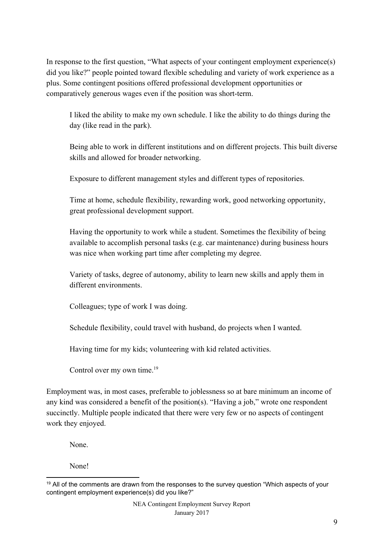In response to the first question, "What aspects of your contingent employment experience(s) did you like?" people pointed toward flexible scheduling and variety of work experience as a plus. Some contingent positions offered professional development opportunities or comparatively generous wages even if the position was short-term.

I liked the ability to make my own schedule. I like the ability to do things during the day (like read in the park).

Being able to work in different institutions and on different projects. This built diverse skills and allowed for broader networking.

Exposure to different management styles and different types of repositories.

Time at home, schedule flexibility, rewarding work, good networking opportunity, great professional development support.

Having the opportunity to work while a student. Sometimes the flexibility of being available to accomplish personal tasks (e.g. car maintenance) during business hours was nice when working part time after completing my degree.

Variety of tasks, degree of autonomy, ability to learn new skills and apply them in different environments.

Colleagues; type of work I was doing.

Schedule flexibility, could travel with husband, do projects when I wanted.

Having time for my kids; volunteering with kid related activities.

Control over my own time.<sup>19</sup>

Employment was, in most cases, preferable to joblessness so at bare minimum an income of any kind was considered a benefit of the position(s). "Having a job," wrote one respondent succinctly. Multiple people indicated that there were very few or no aspects of contingent work they enjoyed.

None.

None!

<sup>&</sup>lt;sup>19</sup> All of the comments are drawn from the responses to the survey question "Which aspects of your contingent employment experience(s) did you like?"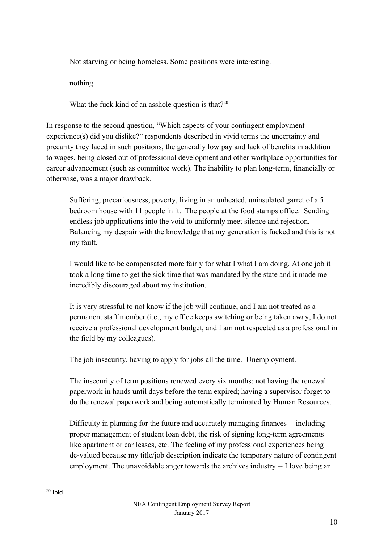Not starving or being homeless. Some positions were interesting.

nothing.

What the fuck kind of an asshole question is that?<sup>20</sup>

In response to the second question, "Which aspects of your contingent employment experience(s) did you dislike?" respondents described in vivid terms the uncertainty and precarity they faced in such positions, the generally low pay and lack of benefits in addition to wages, being closed out of professional development and other workplace opportunities for career advancement (such as committee work). The inability to plan long-term, financially or otherwise, was a major drawback.

Suffering, precariousness, poverty, living in an unheated, uninsulated garret of a 5 bedroom house with 11 people in it. The people at the food stamps office. Sending endless job applications into the void to uniformly meet silence and rejection. Balancing my despair with the knowledge that my generation is fucked and this is not my fault.

I would like to be compensated more fairly for what I what I am doing. At one job it took a long time to get the sick time that was mandated by the state and it made me incredibly discouraged about my institution.

It is very stressful to not know if the job will continue, and I am not treated as a permanent staff member (i.e., my office keeps switching or being taken away, I do not receive a professional development budget, and I am not respected as a professional in the field by my colleagues).

The job insecurity, having to apply for jobs all the time. Unemployment.

The insecurity of term positions renewed every six months; not having the renewal paperwork in hands until days before the term expired; having a supervisor forget to do the renewal paperwork and being automatically terminated by Human Resources.

Difficulty in planning for the future and accurately managing finances -- including proper management of student loan debt, the risk of signing long-term agreements like apartment or car leases, etc. The feeling of my professional experiences being de-valued because my title/job description indicate the temporary nature of contingent employment. The unavoidable anger towards the archives industry -- I love being an

 $20$  Ibid.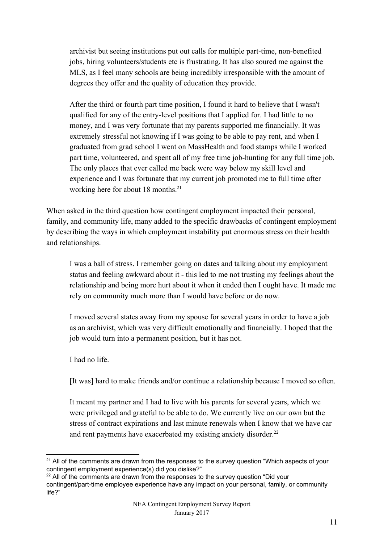archivist but seeing institutions put out calls for multiple part-time, non-benefited jobs, hiring volunteers/students etc is frustrating. It has also soured me against the MLS, as I feel many schools are being incredibly irresponsible with the amount of degrees they offer and the quality of education they provide.

After the third or fourth part time position, I found it hard to believe that I wasn't qualified for any of the entry-level positions that I applied for. I had little to no money, and I was very fortunate that my parents supported me financially. It was extremely stressful not knowing if I was going to be able to pay rent, and when I graduated from grad school I went on MassHealth and food stamps while I worked part time, volunteered, and spent all of my free time job-hunting for any full time job. The only places that ever called me back were way below my skill level and experience and I was fortunate that my current job promoted me to full time after working here for about 18 months.<sup>21</sup>

When asked in the third question how contingent employment impacted their personal, family, and community life, many added to the specific drawbacks of contingent employment by describing the ways in which employment instability put enormous stress on their health and relationships.

I was a ball of stress. I remember going on dates and talking about my employment status and feeling awkward about it - this led to me not trusting my feelings about the relationship and being more hurt about it when it ended then I ought have. It made me rely on community much more than I would have before or do now.

I moved several states away from my spouse for several years in order to have a job as an archivist, which was very difficult emotionally and financially. I hoped that the job would turn into a permanent position, but it has not.

I had no life.

[It was] hard to make friends and/or continue a relationship because I moved so often.

It meant my partner and I had to live with his parents for several years, which we were privileged and grateful to be able to do. We currently live on our own but the stress of contract expirations and last minute renewals when I know that we have car and rent payments have exacerbated my existing anxiety disorder.<sup>22</sup>

<sup>&</sup>lt;sup>21</sup> All of the comments are drawn from the responses to the survey question "Which aspects of your contingent employment experience(s) did you dislike?"

 $22$  All of the comments are drawn from the responses to the survey question "Did your contingent/part-time employee experience have any impact on your personal, family, or community life?"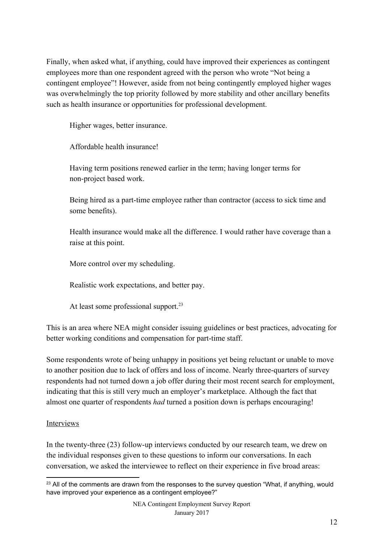Finally, when asked what, if anything, could have improved their experiences as contingent employees more than one respondent agreed with the person who wrote "Not being a contingent employee"! However, aside from not being contingently employed higher wages was overwhelmingly the top priority followed by more stability and other ancillary benefits such as health insurance or opportunities for professional development.

Higher wages, better insurance.

Affordable health insurance!

Having term positions renewed earlier in the term; having longer terms for non-project based work.

Being hired as a part-time employee rather than contractor (access to sick time and some benefits).

Health insurance would make all the difference. I would rather have coverage than a raise at this point.

More control over my scheduling.

Realistic work expectations, and better pay.

At least some professional support.<sup>23</sup>

This is an area where NEA might consider issuing guidelines or best practices, advocating for better working conditions and compensation for part-time staff.

Some respondents wrote of being unhappy in positions yet being reluctant or unable to move to another position due to lack of offers and loss of income. Nearly three-quarters of survey respondents had not turned down a job offer during their most recent search for employment, indicating that this is still very much an employer's marketplace. Although the fact that almost one quarter of respondents *had* turned a position down is perhaps encouraging!

## Interviews

In the twenty-three (23) follow-up interviews conducted by our research team, we drew on the individual responses given to these questions to inform our conversations. In each conversation, we asked the interviewee to reflect on their experience in five broad areas:

<sup>&</sup>lt;sup>23</sup> All of the comments are drawn from the responses to the survey question "What, if anything, would have improved your experience as a contingent employee?"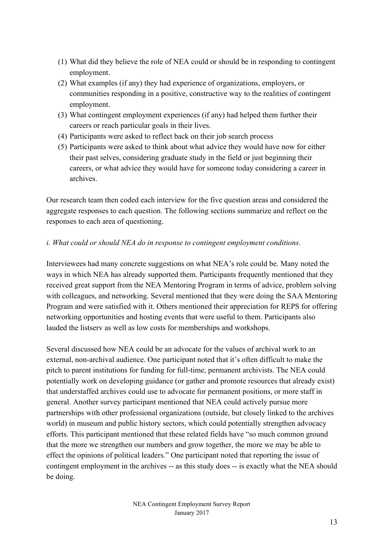- (1) What did they believe the role of NEA could or should be in responding to contingent employment.
- (2) What examples (if any) they had experience of organizations, employers, or communities responding in a positive, constructive way to the realities of contingent employment.
- (3) What contingent employment experiences (if any) had helped them further their careers or reach particular goals in their lives.
- (4) Participants were asked to reflect back on their job search process
- (5) Participants were asked to think about what advice they would have now for either their past selves, considering graduate study in the field or just beginning their careers, or what advice they would have for someone today considering a career in archives.

Our research team then coded each interview for the five question areas and considered the aggregate responses to each question. The following sections summarize and reflect on the responses to each area of questioning.

#### *i. What could or should NEA do in response to contingent employment conditions.*

Interviewees had many concrete suggestions on what NEA's role could be. Many noted the ways in which NEA has already supported them. Participants frequently mentioned that they received great support from the NEA Mentoring Program in terms of advice, problem solving with colleagues, and networking. Several mentioned that they were doing the SAA Mentoring Program and were satisfied with it. Others mentioned their appreciation for REPS for offering networking opportunities and hosting events that were useful to them. Participants also lauded the listserv as well as low costs for memberships and workshops.

Several discussed how NEA could be an advocate for the values of archival work to an external, non-archival audience. One participant noted that it's often difficult to make the pitch to parent institutions for funding for full-time, permanent archivists. The NEA could potentially work on developing guidance (or gather and promote resources that already exist) that understaffed archives could use to advocate for permanent positions, or more staff in general. Another survey participant mentioned that NEA could actively pursue more partnerships with other professional organizations (outside, but closely linked to the archives world) in museum and public history sectors, which could potentially strengthen advocacy efforts. This participant mentioned that these related fields have "so much common ground that the more we strengthen our numbers and grow together, the more we may be able to effect the opinions of political leaders." One participant noted that reporting the issue of contingent employment in the archives -- as this study does -- is exactly what the NEA should be doing.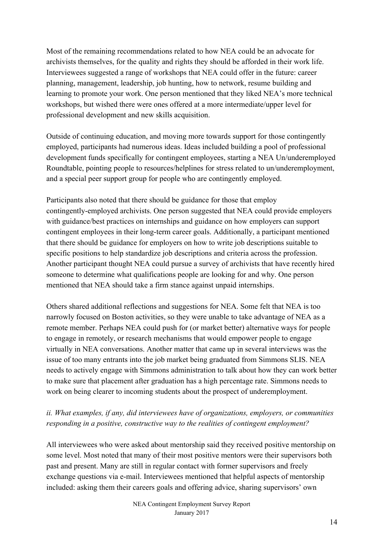Most of the remaining recommendations related to how NEA could be an advocate for archivists themselves, for the quality and rights they should be afforded in their work life. Interviewees suggested a range of workshops that NEA could offer in the future: career planning, management, leadership, job hunting, how to network, resume building and learning to promote your work. One person mentioned that they liked NEA's more technical workshops, but wished there were ones offered at a more intermediate/upper level for professional development and new skills acquisition.

Outside of continuing education, and moving more towards support for those contingently employed, participants had numerous ideas. Ideas included building a pool of professional development funds specifically for contingent employees, starting a NEA Un/underemployed Roundtable, pointing people to resources/helplines for stress related to un/underemployment, and a special peer support group for people who are contingently employed.

Participants also noted that there should be guidance for those that employ contingently-employed archivists. One person suggested that NEA could provide employers with guidance/best practices on internships and guidance on how employers can support contingent employees in their long-term career goals. Additionally, a participant mentioned that there should be guidance for employers on how to write job descriptions suitable to specific positions to help standardize job descriptions and criteria across the profession. Another participant thought NEA could pursue a survey of archivists that have recently hired someone to determine what qualifications people are looking for and why. One person mentioned that NEA should take a firm stance against unpaid internships.

Others shared additional reflections and suggestions for NEA. Some felt that NEA is too narrowly focused on Boston activities, so they were unable to take advantage of NEA as a remote member. Perhaps NEA could push for (or market better) alternative ways for people to engage in remotely, or research mechanisms that would empower people to engage virtually in NEA conversations. Another matter that came up in several interviews was the issue of too many entrants into the job market being graduated from Simmons SLIS. NEA needs to actively engage with Simmons administration to talk about how they can work better to make sure that placement after graduation has a high percentage rate. Simmons needs to work on being clearer to incoming students about the prospect of underemployment.

## *ii. What examples, if any, did interviewees have of organizations, employers, or communities responding in a positive, constructive way to the realities of contingent employment?*

All interviewees who were asked about mentorship said they received positive mentorship on some level. Most noted that many of their most positive mentors were their supervisors both past and present. Many are still in regular contact with former supervisors and freely exchange questions via e-mail. Interviewees mentioned that helpful aspects of mentorship included: asking them their careers goals and offering advice, sharing supervisors' own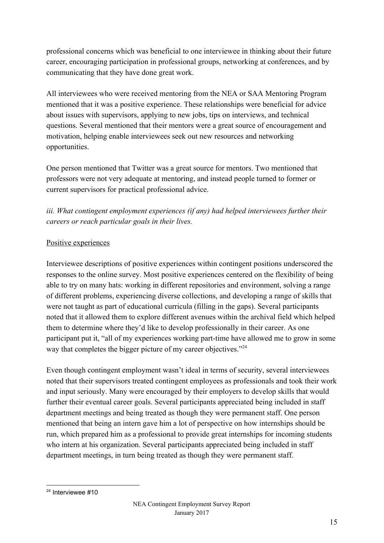professional concerns which was beneficial to one interviewee in thinking about their future career, encouraging participation in professional groups, networking at conferences, and by communicating that they have done great work.

All interviewees who were received mentoring from the NEA or SAA Mentoring Program mentioned that it was a positive experience. These relationships were beneficial for advice about issues with supervisors, applying to new jobs, tips on interviews, and technical questions. Several mentioned that their mentors were a great source of encouragement and motivation, helping enable interviewees seek out new resources and networking opportunities.

One person mentioned that Twitter was a great source for mentors. Two mentioned that professors were not very adequate at mentoring, and instead people turned to former or current supervisors for practical professional advice.

# *iii. What contingent employment experiences (if any) had helped interviewees further their careers or reach particular goals in their lives.*

#### Positive experiences

Interviewee descriptions of positive experiences within contingent positions underscored the responses to the online survey. Most positive experiences centered on the flexibility of being able to try on many hats: working in different repositories and environment, solving a range of different problems, experiencing diverse collections, and developing a range of skills that were not taught as part of educational curricula (filling in the gaps). Several participants noted that it allowed them to explore different avenues within the archival field which helped them to determine where they'd like to develop professionally in their career. As one participant put it, "all of my experiences working part-time have allowed me to grow in some way that completes the bigger picture of my career objectives."<sup>24</sup>

Even though contingent employment wasn't ideal in terms of security, several interviewees noted that their supervisors treated contingent employees as professionals and took their work and input seriously. Many were encouraged by their employers to develop skills that would further their eventual career goals. Several participants appreciated being included in staff department meetings and being treated as though they were permanent staff. One person mentioned that being an intern gave him a lot of perspective on how internships should be run, which prepared him as a professional to provide great internships for incoming students who intern at his organization. Several participants appreciated being included in staff department meetings, in turn being treated as though they were permanent staff.

<sup>24</sup> Interviewee #10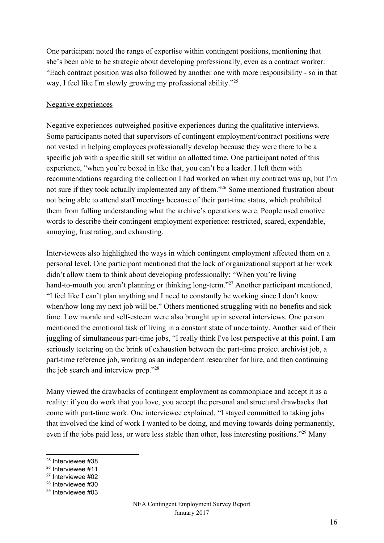One participant noted the range of expertise within contingent positions, mentioning that she's been able to be strategic about developing professionally, even as a contract worker: "Each contract position was also followed by another one with more responsibility - so in that way, I feel like I'm slowly growing my professional ability."<sup>25</sup>

#### Negative experiences

Negative experiences outweighed positive experiences during the qualitative interviews. Some participants noted that supervisors of contingent employment/contract positions were not vested in helping employees professionally develop because they were there to be a specific job with a specific skill set within an allotted time. One participant noted of this experience, "when you're boxed in like that, you can't be a leader. I left them with recommendations regarding the collection I had worked on when my contract was up, but I'm not sure if they took actually implemented any of them."<sup>26</sup> Some mentioned frustration about not being able to attend staff meetings because of their part-time status, which prohibited them from fulling understanding what the archive's operations were. People used emotive words to describe their contingent employment experience: restricted, scared, expendable, annoying, frustrating, and exhausting.

Interviewees also highlighted the ways in which contingent employment affected them on a personal level. One participant mentioned that the lack of organizational support at her work didn't allow them to think about developing professionally: "When you're living hand-to-mouth you aren't planning or thinking long-term."<sup>27</sup> Another participant mentioned, "I feel like I can't plan anything and I need to constantly be working since I don't know when/how long my next job will be." Others mentioned struggling with no benefits and sick time. Low morale and self-esteem were also brought up in several interviews. One person mentioned the emotional task of living in a constant state of uncertainty. Another said of their juggling of simultaneous part-time jobs, "I really think I've lost perspective at this point. I am seriously teetering on the brink of exhaustion between the part-time project archivist job, a part-time reference job, working as an independent researcher for hire, and then continuing the job search and interview prep."<sup>28</sup>

Many viewed the drawbacks of contingent employment as commonplace and accept it as a reality: if you do work that you love, you accept the personal and structural drawbacks that come with part-time work. One interviewee explained, "I stayed committed to taking jobs that involved the kind of work I wanted to be doing, and moving towards doing permanently, even if the jobs paid less, or were less stable than other, less interesting positions."<sup>29</sup> Many

<sup>&</sup>lt;sup>25</sup> Interviewee #38

<sup>&</sup>lt;sup>26</sup> Interviewee #11

<sup>27</sup> Interviewee #02

<sup>28</sup> Interviewee #30

<sup>29</sup> Interviewee #03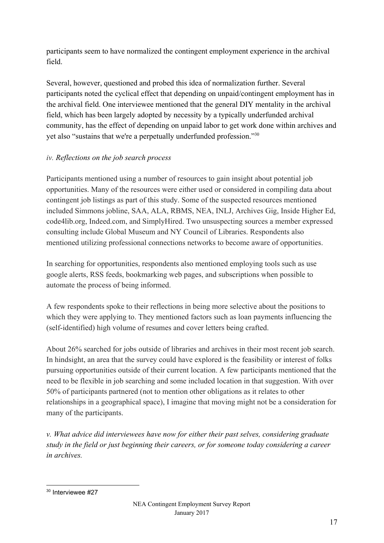participants seem to have normalized the contingent employment experience in the archival field.

Several, however, questioned and probed this idea of normalization further. Several participants noted the cyclical effect that depending on unpaid/contingent employment has in the archival field. One interviewee mentioned that the general DIY mentality in the archival field, which has been largely adopted by necessity by a typically underfunded archival community, has the effect of depending on unpaid labor to get work done within archives and yet also "sustains that we're a perpetually underfunded profession."<sup>30</sup>

## *iv. Reflections on the job search process*

Participants mentioned using a number of resources to gain insight about potential job opportunities. Many of the resources were either used or considered in compiling data about contingent job listings as part of this study. Some of the suspected resources mentioned included Simmons jobline, SAA, ALA, RBMS, NEA, INLJ, Archives Gig, Inside Higher Ed, code4lib.org, Indeed.com, and SimplyHired. Two unsuspecting sources a member expressed consulting include Global Museum and NY Council of Libraries. Respondents also mentioned utilizing professional connections networks to become aware of opportunities.

In searching for opportunities, respondents also mentioned employing tools such as use google alerts, RSS feeds, bookmarking web pages, and subscriptions when possible to automate the process of being informed.

A few respondents spoke to their reflections in being more selective about the positions to which they were applying to. They mentioned factors such as loan payments influencing the (self-identified) high volume of resumes and cover letters being crafted.

About 26% searched for jobs outside of libraries and archives in their most recent job search. In hindsight, an area that the survey could have explored is the feasibility or interest of folks pursuing opportunities outside of their current location. A few participants mentioned that the need to be flexible in job searching and some included location in that suggestion. With over 50% of participants partnered (not to mention other obligations as it relates to other relationships in a geographical space), I imagine that moving might not be a consideration for many of the participants.

*v. What advice did interviewees have now for either their past selves, considering graduate study in the field or just beginning their careers, or for someone today considering a career in archives.*

<sup>30</sup> Interviewee #27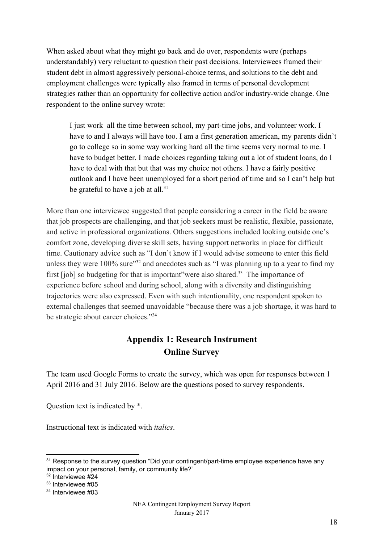When asked about what they might go back and do over, respondents were (perhaps understandably) very reluctant to question their past decisions. Interviewees framed their student debt in almost aggressively personal-choice terms, and solutions to the debt and employment challenges were typically also framed in terms of personal development strategies rather than an opportunity for collective action and/or industry-wide change. One respondent to the online survey wrote:

I just work all the time between school, my part-time jobs, and volunteer work. I have to and I always will have too. I am a first generation american, my parents didn't go to college so in some way working hard all the time seems very normal to me. I have to budget better. I made choices regarding taking out a lot of student loans, do I have to deal with that but that was my choice not others. I have a fairly positive outlook and I have been unemployed for a short period of time and so I can't help but be grateful to have a job at all. $31$ 

More than one interviewee suggested that people considering a career in the field be aware that job prospects are challenging, and that job seekers must be realistic, flexible, passionate, and active in professional organizations. Others suggestions included looking outside one's comfort zone, developing diverse skill sets, having support networks in place for difficult time. Cautionary advice such as "I don't know if I would advise someone to enter this field unless they were  $100\%$  sure" and anecdotes such as "I was planning up to a year to find my first  $[iob]$  so budgeting for that is important" were also shared.<sup>33</sup> The importance of experience before school and during school, along with a diversity and distinguishing trajectories were also expressed. Even with such intentionality, one respondent spoken to external challenges that seemed unavoidable "because there was a job shortage, it was hard to be strategic about career choices."<sup>34</sup>

# **Appendix 1: Research Instrument Online Survey**

The team used Google Forms to create the survey, which was open for responses between 1 April 2016 and 31 July 2016. Below are the questions posed to survey respondents.

Question text is indicated by \*.

Instructional text is indicated with *italics*.

<sup>&</sup>lt;sup>31</sup> Response to the survey question "Did your contingent/part-time employee experience have any impact on your personal, family, or community life?"

<sup>32</sup> Interviewee #24

<sup>33</sup> Interviewee #05

<sup>34</sup> Interviewee #03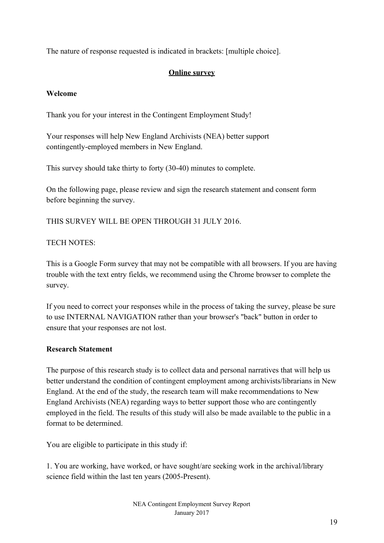The nature of response requested is indicated in brackets: [multiple choice].

## **Online survey**

## **Welcome**

Thank you for your interest in the Contingent Employment Study!

Your responses will help New England Archivists (NEA) better support contingently-employed members in New England.

This survey should take thirty to forty (30-40) minutes to complete.

On the following page, please review and sign the research statement and consent form before beginning the survey.

THIS SURVEY WILL BE OPEN THROUGH 31 JULY 2016.

## TECH NOTES<sup>.</sup>

This is a Google Form survey that may not be compatible with all browsers. If you are having trouble with the text entry fields, we recommend using the Chrome browser to complete the survey.

If you need to correct your responses while in the process of taking the survey, please be sure to use INTERNAL NAVIGATION rather than your browser's "back" button in order to ensure that your responses are not lost.

## **Research Statement**

The purpose of this research study is to collect data and personal narratives that will help us better understand the condition of contingent employment among archivists/librarians in New England. At the end of the study, the research team will make recommendations to New England Archivists (NEA) regarding ways to better support those who are contingently employed in the field. The results of this study will also be made available to the public in a format to be determined.

You are eligible to participate in this study if:

1. You are working, have worked, or have sought/are seeking work in the archival/library science field within the last ten years (2005-Present).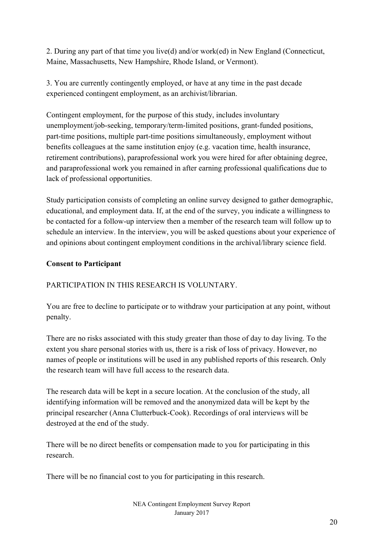2. During any part of that time you live(d) and/or work(ed) in New England (Connecticut, Maine, Massachusetts, New Hampshire, Rhode Island, or Vermont).

3. You are currently contingently employed, or have at any time in the past decade experienced contingent employment, as an archivist/librarian.

Contingent employment, for the purpose of this study, includes involuntary unemployment/job-seeking, temporary/term-limited positions, grant-funded positions, part-time positions, multiple part-time positions simultaneously, employment without benefits colleagues at the same institution enjoy (e.g. vacation time, health insurance, retirement contributions), paraprofessional work you were hired for after obtaining degree, and paraprofessional work you remained in after earning professional qualifications due to lack of professional opportunities.

Study participation consists of completing an online survey designed to gather demographic, educational, and employment data. If, at the end of the survey, you indicate a willingness to be contacted for a follow-up interview then a member of the research team will follow up to schedule an interview. In the interview, you will be asked questions about your experience of and opinions about contingent employment conditions in the archival/library science field.

## **Consent to Participant**

## PARTICIPATION IN THIS RESEARCH IS VOLUNTARY.

You are free to decline to participate or to withdraw your participation at any point, without penalty.

There are no risks associated with this study greater than those of day to day living. To the extent you share personal stories with us, there is a risk of loss of privacy. However, no names of people or institutions will be used in any published reports of this research. Only the research team will have full access to the research data.

The research data will be kept in a secure location. At the conclusion of the study, all identifying information will be removed and the anonymized data will be kept by the principal researcher (Anna Clutterbuck-Cook). Recordings of oral interviews will be destroyed at the end of the study.

There will be no direct benefits or compensation made to you for participating in this research.

There will be no financial cost to you for participating in this research.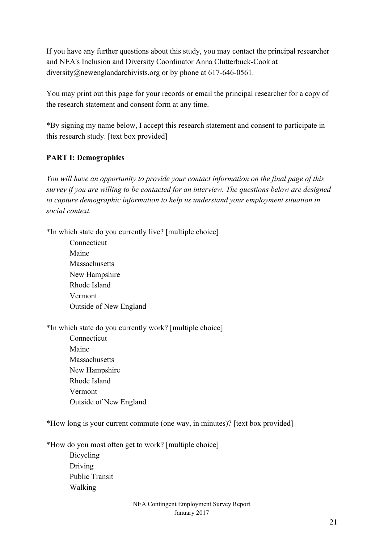If you have any further questions about this study, you may contact the principal researcher and NEA's Inclusion and Diversity Coordinator Anna Clutterbuck-Cook at diversity@newenglandarchivists.org or by phone at 617-646-0561.

You may print out this page for your records or email the principal researcher for a copy of the research statement and consent form at any time.

\*By signing my name below, I accept this research statement and consent to participate in this research study. [text box provided]

## **PART I: Demographics**

*You will have an opportunity to provide your contact information on the final page of this survey if you are willing to be contacted for an interview. The questions below are designed to capture demographic information to help us understand your employment situation in social context.*

\*In which state do you currently live? [multiple choice]

Connecticut Maine Massachusetts New Hampshire Rhode Island Vermont Outside of New England

\*In which state do you currently work? [multiple choice]

Connecticut Maine Massachusetts New Hampshire Rhode Island Vermont Outside of New England

\*How long is your current commute (one way, in minutes)? [text box provided]

\*How do you most often get to work? [multiple choice]

Bicycling Driving Public Transit Walking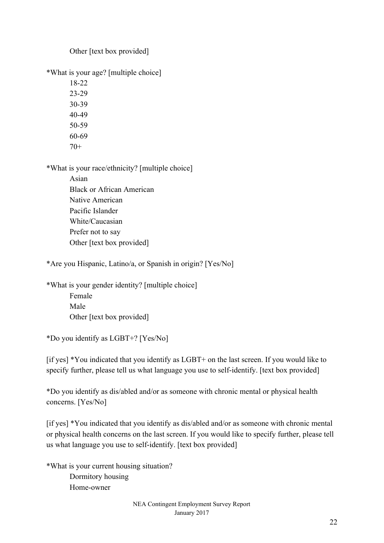Other [text box provided]

\*What is your age? [multiple choice]

18-22 23-29 30-39 40-49 50-59 60-69  $70+$ 

\*What is your race/ethnicity? [multiple choice]

Asian Black or African American Native American Pacific Islander White/Caucasian Prefer not to say Other [text box provided]

\*Are you Hispanic, Latino/a, or Spanish in origin? [Yes/No]

\*What is your gender identity? [multiple choice] Female Male Other [text box provided]

\*Do you identify as LGBT+? [Yes/No]

[if yes] \*You indicated that you identify as LGBT+ on the last screen. If you would like to specify further, please tell us what language you use to self-identify. [text box provided]

\*Do you identify as dis/abled and/or as someone with chronic mental or physical health concerns. [Yes/No]

[if yes] \*You indicated that you identify as dis/abled and/or as someone with chronic mental or physical health concerns on the last screen. If you would like to specify further, please tell us what language you use to self-identify. [text box provided]

\*What is your current housing situation? Dormitory housing Home-owner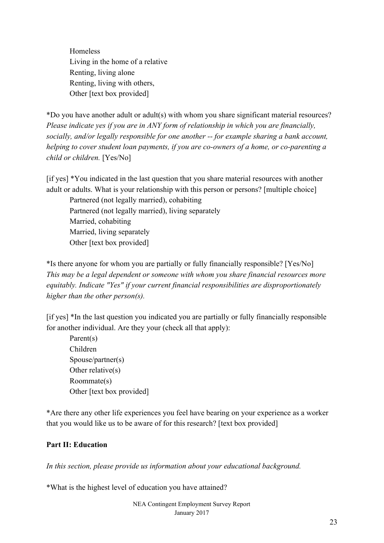**Homeless** Living in the home of a relative Renting, living alone Renting, living with others, Other [text box provided]

\*Do you have another adult or adult(s) with whom you share significant material resources? *Please indicate yes if you are in ANY form of relationship in which you are financially, socially, and/or legally responsible for one another -- for example sharing a bank account, helping to cover student loan payments, if you are co-owners of a home, or co-parenting a child or children.* [Yes/No]

[if yes] \*You indicated in the last question that you share material resources with another adult or adults. What is your relationship with this person or persons? [multiple choice]

Partnered (not legally married), cohabiting Partnered (not legally married), living separately Married, cohabiting Married, living separately Other [text box provided]

\*Is there anyone for whom you are partially or fully financially responsible? [Yes/No] *This may be a legal dependent or someone with whom you share financial resources more equitably. Indicate "Yes" if your current financial responsibilities are disproportionately higher than the other person(s).*

[if yes] \*In the last question you indicated you are partially or fully financially responsible for another individual. Are they your (check all that apply):

Parent(s) Children Spouse/partner(s) Other relative(s) Roommate(s) Other [text box provided]

\*Are there any other life experiences you feel have bearing on your experience as a worker that you would like us to be aware of for this research? [text box provided]

## **Part II: Education**

*In this section, please provide us information about your educational background.*

\*What is the highest level of education you have attained?

NEA Contingent Employment Survey Report January 2017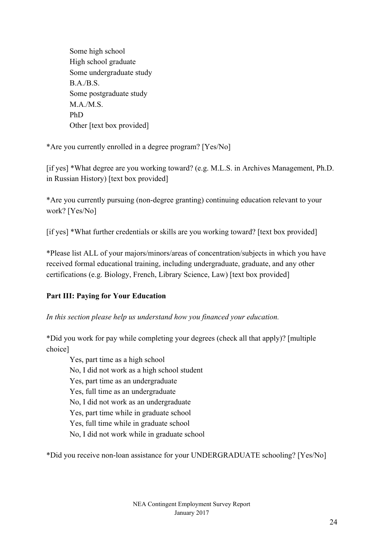Some high school High school graduate Some undergraduate study B.A./B.S. Some postgraduate study M.A./M.S. PhD Other [text box provided]

\*Are you currently enrolled in a degree program? [Yes/No]

[if yes] \*What degree are you working toward? (e.g. M.L.S. in Archives Management, Ph.D. in Russian History) [text box provided]

\*Are you currently pursuing (non-degree granting) continuing education relevant to your work? [Yes/No]

[if yes] \*What further credentials or skills are you working toward? [text box provided]

\*Please list ALL of your majors/minors/areas of concentration/subjects in which you have received formal educational training, including undergraduate, graduate, and any other certifications (e.g. Biology, French, Library Science, Law) [text box provided]

## **Part III: Paying for Your Education**

*In this section please help us understand how you financed your education.*

\*Did you work for pay while completing your degrees (check all that apply)? [multiple choice]

Yes, part time as a high school No, I did not work as a high school student Yes, part time as an undergraduate Yes, full time as an undergraduate No, I did not work as an undergraduate Yes, part time while in graduate school Yes, full time while in graduate school No, I did not work while in graduate school

\*Did you receive non-loan assistance for your UNDERGRADUATE schooling? [Yes/No]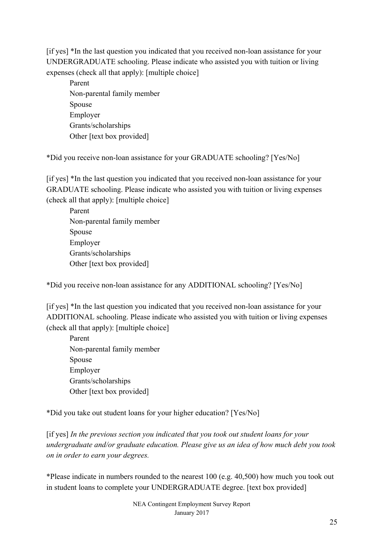[if yes] \*In the last question you indicated that you received non-loan assistance for your UNDERGRADUATE schooling. Please indicate who assisted you with tuition or living expenses (check all that apply): [multiple choice]

Parent Non-parental family member Spouse Employer Grants/scholarships Other [text box provided]

\*Did you receive non-loan assistance for your GRADUATE schooling? [Yes/No]

[if yes] \*In the last question you indicated that you received non-loan assistance for your GRADUATE schooling. Please indicate who assisted you with tuition or living expenses (check all that apply): [multiple choice]

Parent Non-parental family member Spouse Employer Grants/scholarships Other [text box provided]

\*Did you receive non-loan assistance for any ADDITIONAL schooling? [Yes/No]

[if yes] \*In the last question you indicated that you received non-loan assistance for your ADDITIONAL schooling. Please indicate who assisted you with tuition or living expenses (check all that apply): [multiple choice]

Parent Non-parental family member Spouse Employer Grants/scholarships Other [text box provided]

\*Did you take out student loans for your higher education? [Yes/No]

[if yes] *In the previous section you indicated that you took out student loans for your undergraduate and/or graduate education. Please give us an idea of how much debt you took on in order to earn your degrees.*

\*Please indicate in numbers rounded to the nearest 100 (e.g. 40,500) how much you took out in student loans to complete your UNDERGRADUATE degree. [text box provided]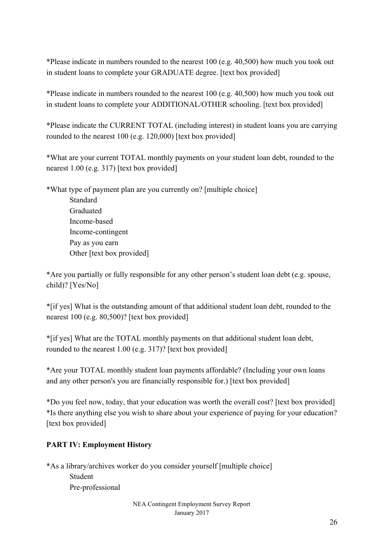\*Please indicate in numbers rounded to the nearest 100 (e.g. 40,500) how much you took out in student loans to complete your GRADUATE degree. [text box provided]

\*Please indicate in numbers rounded to the nearest 100 (e.g. 40,500) how much you took out in student loans to complete your ADDITIONAL/OTHER schooling. [text box provided]

\*Please indicate the CURRENT TOTAL (including interest) in student loans you are carrying rounded to the nearest 100 (e.g. 120,000) [text box provided]

\*What are your current TOTAL monthly payments on your student loan debt, rounded to the nearest 1.00 (e.g. 317) [text box provided]

\*What type of payment plan are you currently on? [multiple choice] Standard Graduated Income-based Income-contingent Pay as you earn Other [text box provided]

\*Are you partially or fully responsible for any other person's student loan debt (e.g. spouse, child)? [Yes/No]

\*[if yes] What is the outstanding amount of that additional student loan debt, rounded to the nearest 100 (e.g. 80,500)? [text box provided]

\*[if yes] What are the TOTAL monthly payments on that additional student loan debt, rounded to the nearest 1.00 (e.g. 317)? [text box provided]

\*Are your TOTAL monthly student loan payments affordable? (Including your own loans and any other person's you are financially responsible for.) [text box provided]

\*Do you feel now, today, that your education was worth the overall cost? [text box provided] \*Is there anything else you wish to share about your experience of paying for your education? [text box provided]

## **PART IV: Employment History**

\*As a library/archives worker do you consider yourself [multiple choice] Student Pre-professional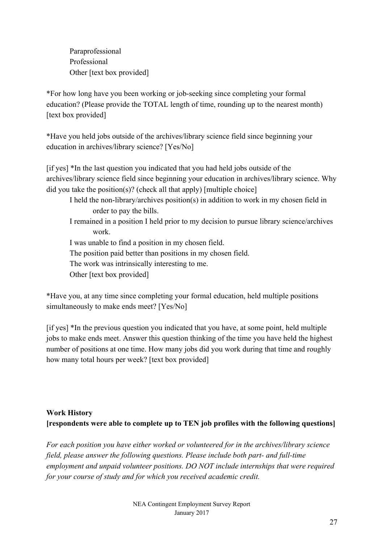Paraprofessional Professional Other [text box provided]

\*For how long have you been working or job-seeking since completing your formal education? (Please provide the TOTAL length of time, rounding up to the nearest month) [text box provided]

\*Have you held jobs outside of the archives/library science field since beginning your education in archives/library science? [Yes/No]

[if yes] \*In the last question you indicated that you had held jobs outside of the archives/library science field since beginning your education in archives/library science. Why did you take the position(s)? (check all that apply) [multiple choice]

I held the non-library/archives position(s) in addition to work in my chosen field in order to pay the bills.

I remained in a position I held prior to my decision to pursue library science/archives work.

I was unable to find a position in my chosen field.

The position paid better than positions in my chosen field.

The work was intrinsically interesting to me.

Other [text box provided]

\*Have you, at any time since completing your formal education, held multiple positions simultaneously to make ends meet? [Yes/No]

[if yes] \*In the previous question you indicated that you have, at some point, held multiple jobs to make ends meet. Answer this question thinking of the time you have held the highest number of positions at one time. How many jobs did you work during that time and roughly how many total hours per week? [text box provided]

# **Work History [respondents were able to complete up to TEN job profiles with the following questions]**

*For each position you have either worked or volunteered for in the archives/library science field, please answer the following questions. Please include both part- and full-time employment and unpaid volunteer positions. DO NOT include internships that were required for your course of study and for which you received academic credit.*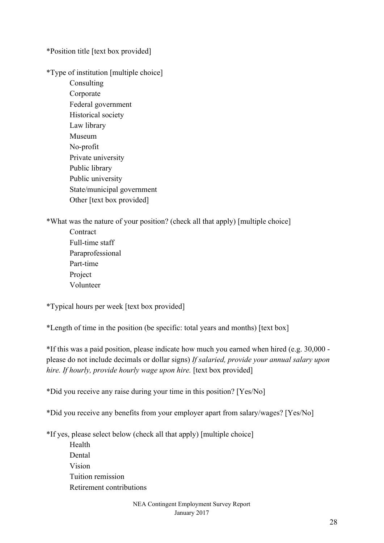\*Position title [text box provided]

\*Type of institution [multiple choice]

Consulting Corporate Federal government Historical society Law library Museum No-profit Private university Public library Public university State/municipal government Other [text box provided]

\*What was the nature of your position? (check all that apply) [multiple choice]

**Contract** Full-time staff Paraprofessional Part-time Project Volunteer

\*Typical hours per week [text box provided]

\*Length of time in the position (be specific: total years and months) [text box]

\*If this was a paid position, please indicate how much you earned when hired (e.g. 30,000 please do not include decimals or dollar signs) *If salaried, provide your annual salary upon hire. If hourly, provide hourly wage upon hire.* [text box provided]

\*Did you receive any raise during your time in this position? [Yes/No]

\*Did you receive any benefits from your employer apart from salary/wages? [Yes/No]

\*If yes, please select below (check all that apply) [multiple choice]

Health Dental Vision Tuition remission Retirement contributions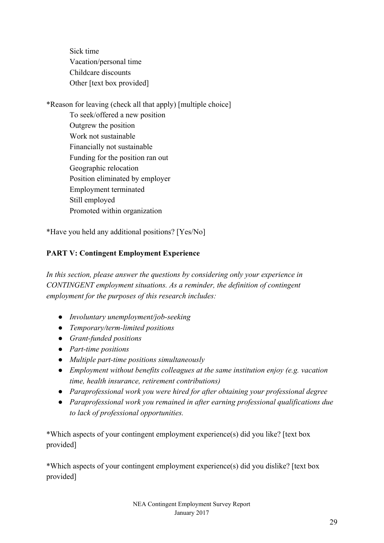Sick time Vacation/personal time Childcare discounts Other [text box provided]

\*Reason for leaving (check all that apply) [multiple choice]

To seek/offered a new position Outgrew the position Work not sustainable Financially not sustainable Funding for the position ran out Geographic relocation Position eliminated by employer Employment terminated Still employed Promoted within organization

\*Have you held any additional positions? [Yes/No]

## **PART V: Contingent Employment Experience**

*In this section, please answer the questions by considering only your experience in CONTINGENT employment situations. As a reminder, the definition of contingent employment for the purposes of this research includes:*

- *● Involuntary unemployment/job-seeking*
- *● Temporary/term-limited positions*
- *● Grant-funded positions*
- *● Part-time positions*
- *● Multiple part-time positions simultaneously*
- *● Employment without benefits colleagues at the same institution enjoy (e.g. vacation time, health insurance, retirement contributions)*
- *● Paraprofessional work you were hired for after obtaining your professional degree*
- *● Paraprofessional work you remained in after earning professional qualifications due to lack of professional opportunities.*

\*Which aspects of your contingent employment experience(s) did you like? [text box provided]

\*Which aspects of your contingent employment experience(s) did you dislike? [text box provided]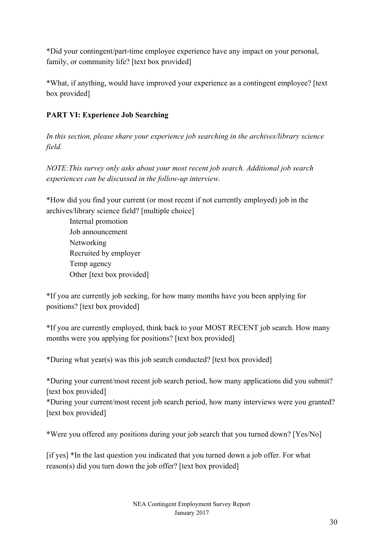\*Did your contingent/part-time employee experience have any impact on your personal, family, or community life? [text box provided]

\*What, if anything, would have improved your experience as a contingent employee? [text box provided]

## **PART VI: Experience Job Searching**

*In this section, please share your experience job searching in the archives/library science field.*

*NOTE:This survey only asks about your most recent job search. Additional job search experiences can be discussed in the follow-up interview.*

\*How did you find your current (or most recent if not currently employed) job in the archives/library science field? [multiple choice]

Internal promotion Job announcement Networking Recruited by employer Temp agency Other [text box provided]

\*If you are currently job seeking, for how many months have you been applying for positions? [text box provided]

\*If you are currently employed, think back to your MOST RECENT job search. How many months were you applying for positions? [text box provided]

\*During what year(s) was this job search conducted? [text box provided]

\*During your current/most recent job search period, how many applications did you submit? [text box provided]

\*During your current/most recent job search period, how many interviews were you granted? [text box provided]

\*Were you offered any positions during your job search that you turned down? [Yes/No]

[if yes] \*In the last question you indicated that you turned down a job offer. For what reason(s) did you turn down the job offer? [text box provided]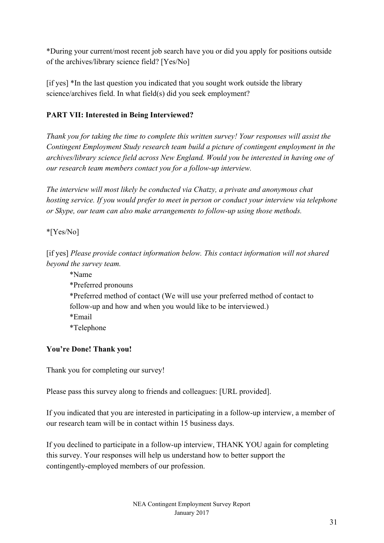\*During your current/most recent job search have you or did you apply for positions outside of the archives/library science field? [Yes/No]

[if yes] \*In the last question you indicated that you sought work outside the library science/archives field. In what field(s) did you seek employment?

## **PART VII: Interested in Being Interviewed?**

*Thank you for taking the time to complete this written survey! Your responses will assist the Contingent Employment Study research team build a picture of contingent employment in the archives/library science field across New England. Would you be interested in having one of our research team members contact you for a follow-up interview.*

*The interview will most likely be conducted via Chatzy, a private and anonymous chat hosting service. If you would prefer to meet in person or conduct your interview via telephone or Skype, our team can also make arrangements to follow-up using those methods.*

## \*[Yes/No]

[if yes] *Please provide contact information below. This contact information will not shared beyond the survey team.*

\*Name \*Preferred pronouns \*Preferred method of contact (We will use your preferred method of contact to follow-up and how and when you would like to be interviewed.) \*Email \*Telephone

## **You're Done! Thank you!**

Thank you for completing our survey!

Please pass this survey along to friends and colleagues: [URL provided].

If you indicated that you are interested in participating in a follow-up interview, a member of our research team will be in contact within 15 business days.

If you declined to participate in a follow-up interview, THANK YOU again for completing this survey. Your responses will help us understand how to better support the contingently-employed members of our profession.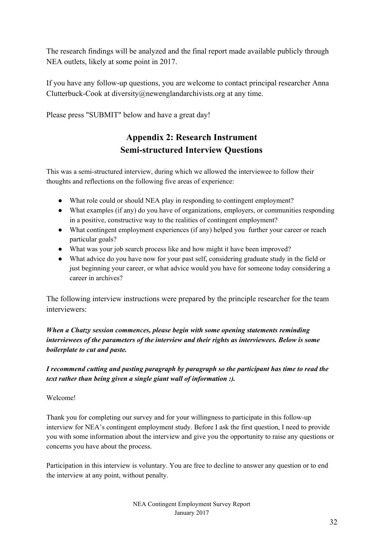The research findings will be analyzed and the final report made available publicly through NEA outlets, likely at some point in 2017.

If you have any follow-up questions, you are welcome to contact principal researcher Anna Clutterbuck-Cook at diversity@newenglandarchivists.org at any time.

Please press "SUBMIT" below and have a great day!

# **Appendix 2: Research Instrument Semi-structured Interview Questions**

This was a semi-structured interview, during which we allowed the interviewee to follow their thoughts and reflections on the following five areas of experience:

- What role could or should NEA play in responding to contingent employment?
- What examples (if any) do you have of organizations, employers, or communities responding in a positive, constructive way to the realities of contingent employment?
- What contingent employment experiences (if any) helped you further your career or reach particular goals?
- What was your job search process like and how might it have been improved?
- What advice do you have now for your past self, considering graduate study in the field or just beginning your career, or what advice would you have for someone today considering a career in archives?

The following interview instructions were prepared by the principle researcher for the team interviewers:

## *When a Chatzy session commences, please begin with some opening statements reminding interviewees of the parameters of the interview and their rights as interviewees. Below is some boilerplate to cut and paste.*

*I recommend cutting and pasting paragraph by paragraph so the participant has time to read the text rather than being given a single giant wall of information :).*

#### Welcome!

Thank you for completing our survey and for your willingness to participate in this follow-up interview for NEA's contingent employment study. Before I ask the first question, I need to provide you with some information about the interview and give you the opportunity to raise any questions or concerns you have about the process.

Participation in this interview is voluntary. You are free to decline to answer any question or to end the interview at any point, without penalty.